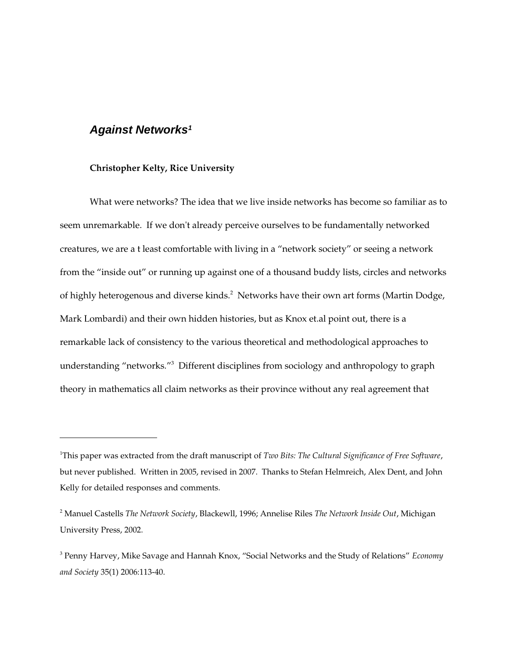# **Against Networks[1](#page-0-0)**

#### **Christopher Kelty, Rice University**

What were networks? The idea that we live inside networks has become so familiar as to seem unremarkable. If we don't already perceive ourselves to be fundamentally networked creatures, we are a t least comfortable with living in a "network society" or seeing a network from the "inside out" or running up against one of a thousand buddy lists, circles and networks of highly heterogenous and diverse kinds.<sup>[2](#page-0-1)</sup> Networks have their own art forms (Martin Dodge, Mark Lombardi) and their own hidden histories, but as Knox et.al point out, there is a remarkable lack of consistency to the various theoretical and methodological approaches to understanding "networks."<sup>[3](#page-0-2)</sup> Different disciplines from sociology and anthropology to graph theory in mathematics all claim networks as their province without any real agreement that

<span id="page-0-0"></span><sup>1</sup>This paper was extracted from the draft manuscript of *Two Bits: The Cultural Significance of Free Software*, but never published. Written in 2005, revised in 2007. Thanks to Stefan Helmreich, Alex Dent, and John Kelly for detailed responses and comments.

<span id="page-0-1"></span><sup>2</sup> Manuel Castells *The Network Society*, Blackewll, 1996; Annelise Riles *The Network Inside Out*, Michigan University Press, 2002.

<span id="page-0-2"></span><sup>3</sup> Penny Harvey, Mike Savage and Hannah Knox, "Social Networks and the Study of Relations" *Economy* and Society 35(1) 2006:113-40.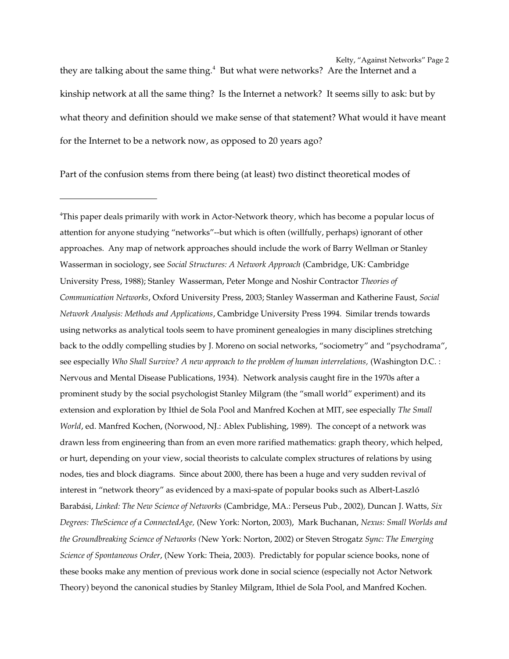they are talking about the same thing.<sup>[4](#page-1-0)</sup> But what were networks? Are the Internet and a kinship network at all the same thing? Is the Internet a network? It seems silly to ask: but by what theory and definition should we make sense of that statement? What would it have meant for the Internet to be a network now, as opposed to 20 years ago?

Part of the confusion stems from there being (at least) two distinct theoretical modes of

<span id="page-1-0"></span><sup>4</sup>This paper deals primarily with work in Actor-Network theory, which has become a popular locus of attention for anyone studying "networks"--but which is often (willfully, perhaps) ignorant of other approaches. Any map of network approaches should include the work of Barry Wellman or Stanley Wasserman in sociology, see *Social Structures: A Network Approach* (Cambridge, UK: Cambridge University Press, 1988); Stanley Wasserman, Peter Monge and Noshir Contractor *Theories of Communication Networks*, Oxford University Press, 2003; Stanley Wasserman and Katherine Faust, *Social Network Analysis: Methods and Applications*, Cambridge University Press 1994. Similar trends towards using networks as analytical tools seem to have prominent genealogies in many disciplines stretching back to the oddly compelling studies by J. Moreno on social networks, "sociometry" and "psychodrama", see especially *Who Shall Survive? A new approach to the problem of human interrelations,* (Washington D.C. : Nervous and Mental Disease Publications, 1934). Network analysis caught fire in the 1970s after a prominent study by the social psychologist Stanley Milgram (the "small world" experiment) and its extension and exploration by Ithiel de Sola Pool and Manfred Kochen at MIT, see especially *The Small World*, ed. Manfred Kochen, (Norwood, NJ.: Ablex Publishing, 1989). The concept of a network was drawn less from engineering than from an even more rarified mathematics: graph theory, which helped, or hurt, depending on your view, social theorists to calculate complex structures of relations by using nodes, ties and block diagrams. Since about 2000, there has been a huge and very sudden revival of interest in "network theory" as evidenced by a maxi-spate of popular books such as Albert-Laszló Barabási, *Linked: The New Science of Networks* (Cambridge, MA.: Perseus Pub., 2002)*,* Duncan J. Watts, *Six Degrees: TheScience of a ConnectedAge,* (New York: Norton, 2003), Mark Buchanan, *Nexus: Small Worlds and the Groundbreaking Science of Networks (*New York: Norton, 2002) or Steven Strogatz *Sync: The Emerging Science of Spontaneous Order*, (New York: Theia, 2003). Predictably for popular science books, none of these books make any mention of previous work done in social science (especially not Actor Network Theory) beyond the canonical studies by Stanley Milgram, Ithiel de Sola Pool, and Manfred Kochen.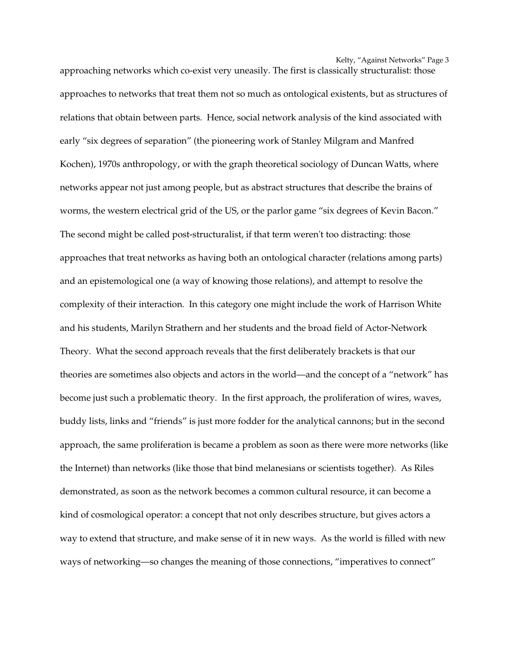approaching networks which co-exist very uneasily. The first is classically structuralist: those approaches to networks that treat them not so much as ontological existents, but as structures of relations that obtain between parts. Hence, social network analysis of the kind associated with early "six degrees of separation" (the pioneering work of Stanley Milgram and Manfred Kochen), 1970s anthropology, or with the graph theoretical sociology of Duncan Watts, where networks appear not just among people, but as abstract structures that describe the brains of worms, the western electrical grid of the US, or the parlor game "six degrees of Kevin Bacon." The second might be called post-structuralist, if that term weren't too distracting: those approaches that treat networks as having both an ontological character (relations among parts) and an epistemological one (a way of knowing those relations), and attempt to resolve the complexity of their interaction. In this category one might include the work of Harrison White and his students, Marilyn Strathern and her students and the broad field of Actor-Network Theory. What the second approach reveals that the first deliberately brackets is that our theories are sometimes also objects and actors in the world—and the concept of a "network" has become just such a problematic theory. In the first approach, the proliferation of wires, waves, buddy lists, links and "friends" is just more fodder for the analytical cannons; but in the second approach, the same proliferation is became a problem as soon as there were more networks (like the Internet) than networks (like those that bind melanesians or scientists together). As Riles demonstrated, as soon as the network becomes a common cultural resource, it can become a kind of cosmological operator: a concept that not only describes structure, but gives actors a way to extend that structure, and make sense of it in new ways. As the world is filled with new ways of networking—so changes the meaning of those connections, "imperatives to connect"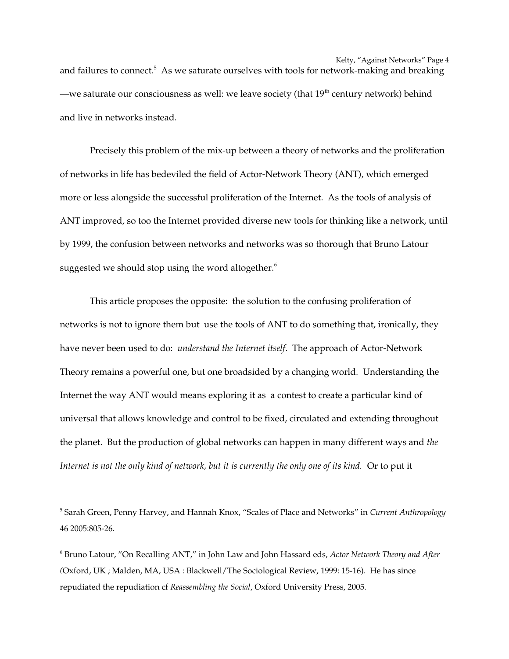and failures to connect. $^5$  $^5$  As we saturate ourselves with tools for network-making and breaking —we saturate our consciousness as well: we leave society (that  $19<sup>th</sup>$  century network) behind and live in networks instead.

Precisely this problem of the mix-up between a theory of networks and the proliferation of networks in life has bedeviled the field of Actor-Network Theory (ANT), which emerged more or less alongside the successful proliferation of the Internet. As the tools of analysis of ANT improved, so too the Internet provided diverse new tools for thinking like a network, until by 1999, the confusion between networks and networks was so thorough that Bruno Latour suggested we should stop using the word altogether.<sup>[6](#page-3-1)</sup>

This article proposes the opposite: the solution to the confusing proliferation of networks is not to ignore them but use the tools of ANT to do something that, ironically, they have never been used to do: *understand the Internet itself*. The approach of Actor-Network Theory remains a powerful one, but one broadsided by a changing world. Understanding the Internet the way ANT would means exploring it as a contest to create a particular kind of universal that allows knowledge and control to be fixed, circulated and extending throughout the planet. But the production of global networks can happen in many different ways and *the Internet is not the only kind of network, but it is currently the only one of its kind.* Or to put it

<span id="page-3-0"></span><sup>5</sup> Sarah Green, Penny Harvey, and Hannah Knox, "Scales of Place and Networks" in *Current Anthropology* 46 2005:805-26.

<span id="page-3-1"></span><sup>6</sup> Bruno Latour, "On Recalling ANT," in John Law and John Hassard eds, *Actor Network Theory and After* (Oxford, UK ; Malden, MA, USA : Blackwell/The Sociological Review, 1999: 15-16). He has since repudiated the repudiation cf *Reassembling the Social*, Oxford University Press, 2005.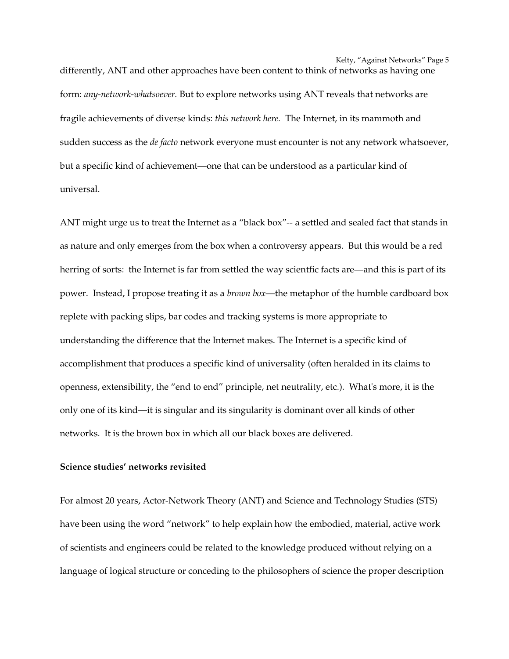differently, ANT and other approaches have been content to think of networks as having one form: *any-network-whatsoever*. But to explore networks using ANT reveals that networks are fragile achievements of diverse kinds: *this network here.*  The Internet, in its mammoth and sudden success as the *de facto* network everyone must encounter is not any network whatsoever, but a specific kind of achievement—one that can be understood as a particular kind of universal.

ANT might urge us to treat the Internet as a "black box"-- a settled and sealed fact that stands in as nature and only emerges from the box when a controversy appears. But this would be a red herring of sorts: the Internet is far from settled the way scientfic facts are—and this is part of its power. Instead, I propose treating it as a *brown box—*the metaphor of the humble cardboard box replete with packing slips, bar codes and tracking systems is more appropriate to understanding the difference that the Internet makes. The Internet is a specific kind of accomplishment that produces a specific kind of universality (often heralded in its claims to openness, extensibility, the "end to end" principle, net neutrality, etc.). What's more, it is the only one of its kind—it is singular and its singularity is dominant over all kinds of other networks. It is the brown box in which all our black boxes are delivered.

## **Science studies' networks revisited**

For almost 20 years, Actor-Network Theory (ANT) and Science and Technology Studies (STS) have been using the word "network" to help explain how the embodied, material, active work of scientists and engineers could be related to the knowledge produced without relying on a language of logical structure or conceding to the philosophers of science the proper description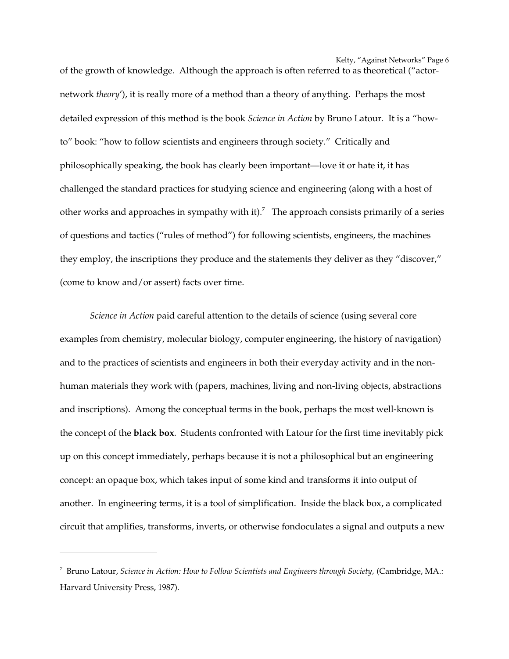of the growth of knowledge. Although the approach is often referred to as theoretical ("actornetwork *theory'*), it is really more of a method than a theory of anything. Perhaps the most detailed expression of this method is the book *Science in Action* by Bruno Latour*.* It is a "howto" book: "how to follow scientists and engineers through society." Critically and philosophically speaking, the book has clearly been important—love it or hate it, it has challenged the standard practices for studying science and engineering (along with a host of other works and approaches in sympathy with it).<sup>[7](#page-5-0)</sup> The approach consists primarily of a series of questions and tactics ("rules of method") for following scientists, engineers, the machines they employ, the inscriptions they produce and the statements they deliver as they "discover," (come to know and/or assert) facts over time.

*Science in Action* paid careful attention to the details of science (using several core examples from chemistry, molecular biology, computer engineering, the history of navigation) and to the practices of scientists and engineers in both their everyday activity and in the nonhuman materials they work with (papers, machines, living and non-living objects, abstractions and inscriptions). Among the conceptual terms in the book, perhaps the most well-known is the concept of the **black box**. Students confronted with Latour for the first time inevitably pick up on this concept immediately, perhaps because it is not a philosophical but an engineering concept: an opaque box, which takes input of some kind and transforms it into output of another. In engineering terms, it is a tool of simplification. Inside the black box, a complicated circuit that amplifies, transforms, inverts, or otherwise fondoculates a signal and outputs a new

<span id="page-5-0"></span><sup>7</sup> Bruno Latour, *Science in Action: How to Follow Scientists and Engineers through Society,* (Cambridge, MA.: Harvard University Press, 1987).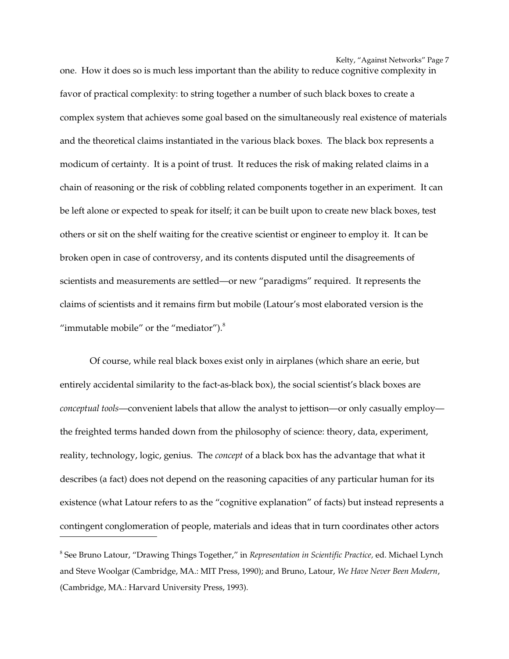one. How it does so is much less important than the ability to reduce cognitive complexity in favor of practical complexity: to string together a number of such black boxes to create a complex system that achieves some goal based on the simultaneously real existence of materials and the theoretical claims instantiated in the various black boxes. The black box represents a modicum of certainty. It is a point of trust. It reduces the risk of making related claims in a chain of reasoning or the risk of cobbling related components together in an experiment. It can be left alone or expected to speak for itself; it can be built upon to create new black boxes, test others or sit on the shelf waiting for the creative scientist or engineer to employ it. It can be broken open in case of controversy, and its contents disputed until the disagreements of scientists and measurements are settled—or new "paradigms" required. It represents the claims of scientists and it remains firm but mobile (Latour's most elaborated version is the "immutable mobile" or the "mediator"). $8$ 

Of course, while real black boxes exist only in airplanes (which share an eerie, but entirely accidental similarity to the fact-as-black box), the social scientist's black boxes are *conceptual tools*—convenient labels that allow the analyst to jettison—or only casually employ the freighted terms handed down from the philosophy of science: theory, data, experiment, reality, technology, logic, genius. The *concept* of a black box has the advantage that what it describes (a fact) does not depend on the reasoning capacities of any particular human for its existence (what Latour refers to as the "cognitive explanation" of facts) but instead represents a contingent conglomeration of people, materials and ideas that in turn coordinates other actors

<span id="page-6-0"></span><sup>8</sup> See Bruno Latour, "Drawing Things Together," in *Representation in Scientific Practice,* ed. Michael Lynch and Steve Woolgar (Cambridge, MA.: MIT Press, 1990); and Bruno, Latour, *We Have Never Been Modern*, (Cambridge, MA.: Harvard University Press, 1993).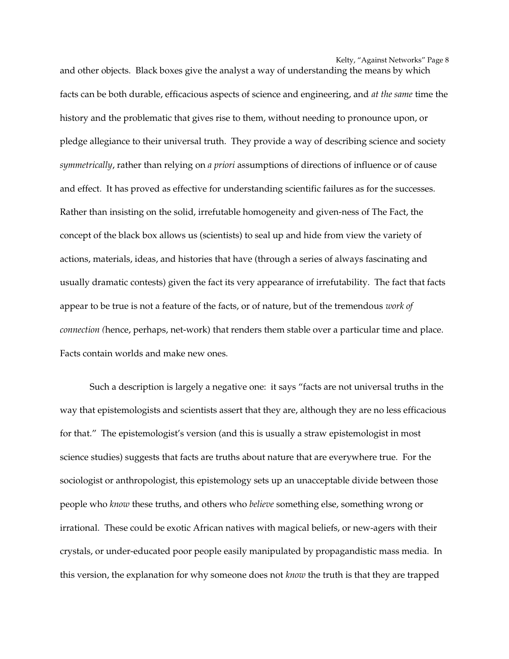and other objects. Black boxes give the analyst a way of understanding the means by which facts can be both durable, efficacious aspects of science and engineering, and *at the same* time the history and the problematic that gives rise to them, without needing to pronounce upon, or pledge allegiance to their universal truth. They provide a way of describing science and society *symmetrically*, rather than relying on *a priori* assumptions of directions of influence or of cause and effect. It has proved as effective for understanding scientific failures as for the successes. Rather than insisting on the solid, irrefutable homogeneity and given-ness of The Fact, the concept of the black box allows us (scientists) to seal up and hide from view the variety of actions, materials, ideas, and histories that have (through a series of always fascinating and usually dramatic contests) given the fact its very appearance of irrefutability. The fact that facts appear to be true is not a feature of the facts, or of nature, but of the tremendous *work of connection* (hence, perhaps, net-work) that renders them stable over a particular time and place. Facts contain worlds and make new ones.

Such a description is largely a negative one: it says "facts are not universal truths in the way that epistemologists and scientists assert that they are, although they are no less efficacious for that." The epistemologist's version (and this is usually a straw epistemologist in most science studies) suggests that facts are truths about nature that are everywhere true. For the sociologist or anthropologist, this epistemology sets up an unacceptable divide between those people who *know* these truths, and others who *believe* something else, something wrong or irrational. These could be exotic African natives with magical beliefs, or new-agers with their crystals, or undereducated poor people easily manipulated by propagandistic mass media. In this version, the explanation for why someone does not *know* the truth is that they are trapped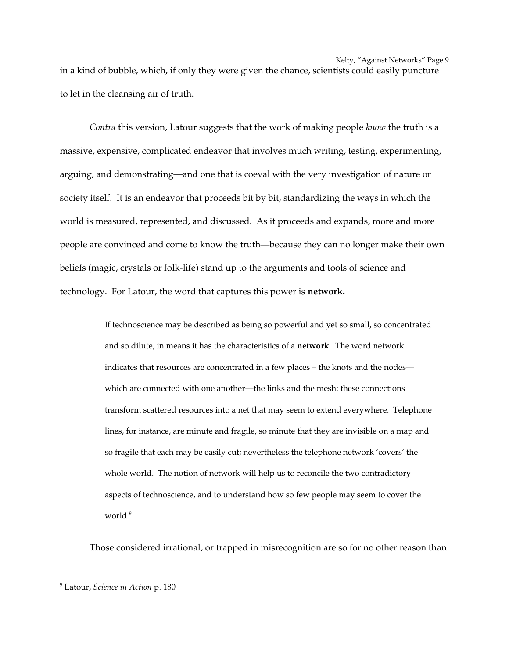in a kind of bubble, which, if only they were given the chance, scientists could easily puncture to let in the cleansing air of truth.

*Contra* this version, Latour suggests that the work of making people *know* the truth is a massive, expensive, complicated endeavor that involves much writing, testing, experimenting, arguing, and demonstrating—and one that is coeval with the very investigation of nature or society itself. It is an endeavor that proceeds bit by bit, standardizing the ways in which the world is measured, represented, and discussed. As it proceeds and expands, more and more people are convinced and come to know the truth—because they can no longer make their own beliefs (magic, crystals or folk-life) stand up to the arguments and tools of science and technology. For Latour, the word that captures this power is **network.**

> If technoscience may be described as being so powerful and yet so small, so concentrated and so dilute, in means it has the characteristics of a **network**. The word network indicates that resources are concentrated in a few places – the knots and the nodes which are connected with one another—the links and the mesh: these connections transform scattered resources into a net that may seem to extend everywhere. Telephone lines, for instance, are minute and fragile, so minute that they are invisible on a map and so fragile that each may be easily cut; nevertheless the telephone network 'covers' the whole world. The notion of network will help us to reconcile the two contradictory aspects of technoscience, and to understand how so few people may seem to cover the world.<sup>[9](#page-8-0)</sup>

Those considered irrational, or trapped in misrecognition are so for no other reason than

<span id="page-8-0"></span><sup>9</sup> Latour, *Science in Action* p. 180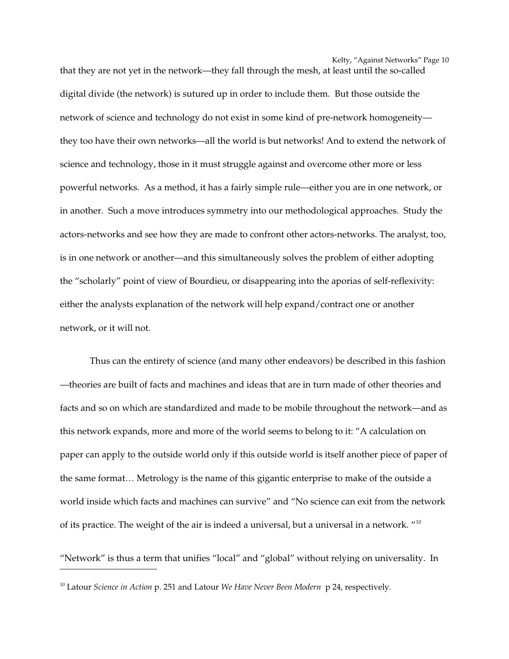that they are not yet in the network—they fall through the mesh, at least until the so-called digital divide (the network) is sutured up in order to include them. But those outside the network of science and technology do not exist in some kind of pre-network homogeneity they too have their own networks—all the world is but networks! And to extend the network of science and technology, those in it must struggle against and overcome other more or less powerful networks. As a method, it has a fairly simple rule—either you are in one network, or in another. Such a move introduces symmetry into our methodological approaches. Study the actors-networks and see how they are made to confront other actors-networks. The analyst, too, is in one network or another—and this simultaneously solves the problem of either adopting the "scholarly" point of view of Bourdieu, or disappearing into the aporias of self-reflexivity: either the analysts explanation of the network will help expand/contract one or another network, or it will not.

Thus can the entirety of science (and many other endeavors) be described in this fashion —theories are built of facts and machines and ideas that are in turn made of other theories and facts and so on which are standardized and made to be mobile throughout the network—and as this network expands, more and more of the world seems to belong to it: "A calculation on paper can apply to the outside world only if this outside world is itself another piece of paper of the same format… Metrology is the name of this gigantic enterprise to make of the outside a world inside which facts and machines can survive" and "No science can exit from the network of its practice. The weight of the air is indeed a universal, but a universal in a network. "<sup>[10](#page-9-0)</sup>

"Network" is thus a term that unifies "local" and "global" without relying on universality. In

<span id="page-9-0"></span><sup>&</sup>lt;sup>10</sup> Latour *Science in Action* p. 251 and Latour *We Have Never Been Modern* p 24, respectively.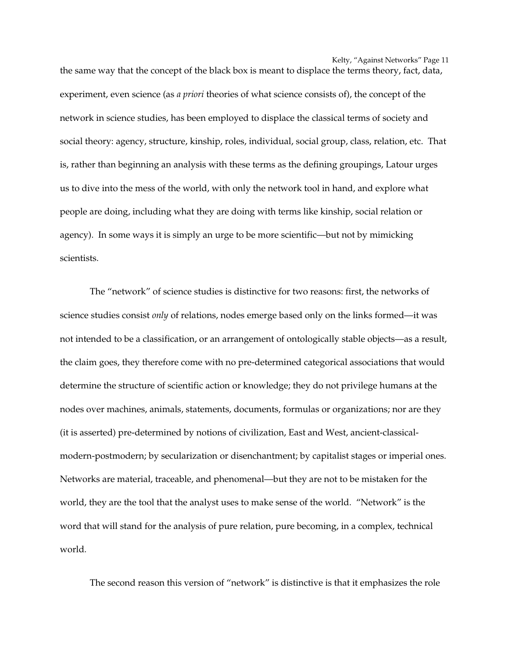the same way that the concept of the black box is meant to displace the terms theory, fact, data, experiment, even science (as *a priori* theories of what science consists of), the concept of the network in science studies, has been employed to displace the classical terms of society and social theory: agency, structure, kinship, roles, individual, social group, class, relation, etc. That is, rather than beginning an analysis with these terms as the defining groupings, Latour urges us to dive into the mess of the world, with only the network tool in hand, and explore what people are doing, including what they are doing with terms like kinship, social relation or agency). In some ways it is simply an urge to be more scientific—but not by mimicking scientists.

The "network" of science studies is distinctive for two reasons: first, the networks of science studies consist *only* of relations, nodes emerge based only on the links formed—it was not intended to be a classification, or an arrangement of ontologically stable objects—as a result, the claim goes, they therefore come with no pre-determined categorical associations that would determine the structure of scientific action or knowledge; they do not privilege humans at the nodes over machines, animals, statements, documents, formulas or organizations; nor are they (it is asserted) pre-determined by notions of civilization, East and West, ancient-classicalmodern-postmodern; by secularization or disenchantment; by capitalist stages or imperial ones. Networks are material, traceable, and phenomenal—but they are not to be mistaken for the world, they are the tool that the analyst uses to make sense of the world. "Network" is the word that will stand for the analysis of pure relation, pure becoming, in a complex, technical world.

The second reason this version of "network" is distinctive is that it emphasizes the role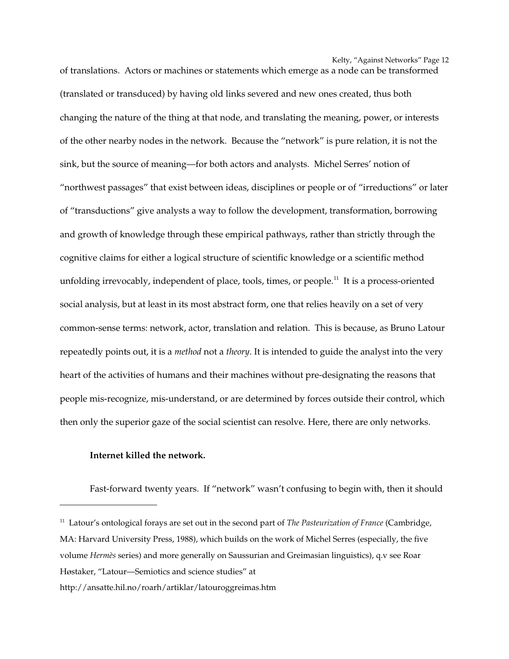of translations. Actors or machines or statements which emerge as a node can be transformed (translated or transduced) by having old links severed and new ones created, thus both changing the nature of the thing at that node, and translating the meaning, power, or interests of the other nearby nodes in the network. Because the "network" is pure relation, it is not the sink, but the source of meaning—for both actors and analysts. Michel Serres' notion of "northwest passages" that exist between ideas, disciplines or people or of "irreductions" or later of "transductions" give analysts a way to follow the development, transformation, borrowing and growth of knowledge through these empirical pathways, rather than strictly through the cognitive claims for either a logical structure of scientific knowledge or a scientific method unfolding irrevocably, independent of place, tools, times, or people.<sup>[11](#page-11-0)</sup> It is a process-oriented social analysis, but at least in its most abstract form, one that relies heavily on a set of very common-sense terms: network, actor, translation and relation. This is because, as Bruno Latour repeatedly points out, it is a *method* not a *theory*. It is intended to guide the analyst into the very heart of the activities of humans and their machines without pre-designating the reasons that people mis-recognize, mis-understand, or are determined by forces outside their control, which then only the superior gaze of the social scientist can resolve. Here, there are only networks.

## **Internet killed the network.**

Fast-forward twenty years. If "network" wasn't confusing to begin with, then it should

<span id="page-11-0"></span><sup>&</sup>lt;sup>11</sup> Latour's ontological forays are set out in the second part of *The Pasteurization of France* (Cambridge, MA: Harvard University Press, 1988), which builds on the work of Michel Serres (especially, the five volume *Hermès* series) and more generally on Saussurian and Greimasian linguistics), q.v see Roar Høstaker, "Latour—Semiotics and science studies" at

http://ansatte.hil.no/roarh/artiklar/latouroggreimas.htm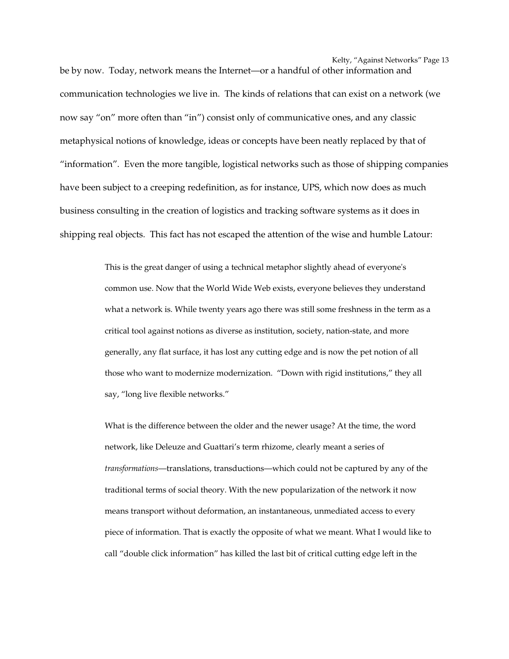be by now. Today, network means the Internet—or a handful of other information and communication technologies we live in. The kinds of relations that can exist on a network (we now say "on" more often than "in") consist only of communicative ones, and any classic metaphysical notions of knowledge, ideas or concepts have been neatly replaced by that of "information". Even the more tangible, logistical networks such as those of shipping companies have been subject to a creeping redefinition, as for instance, UPS, which now does as much business consulting in the creation of logistics and tracking software systems as it does in shipping real objects. This fact has not escaped the attention of the wise and humble Latour:

> This is the great danger of using a technical metaphor slightly ahead of everyone's common use. Now that the World Wide Web exists, everyone believes they understand what a network is. While twenty years ago there was still some freshness in the term as a critical tool against notions as diverse as institution, society, nation-state, and more generally, any flat surface, it has lost any cutting edge and is now the pet notion of all those who want to modernize modernization. "Down with rigid institutions," they all say, "long live flexible networks."

> What is the difference between the older and the newer usage? At the time, the word network, like Deleuze and Guattari's term rhizome, clearly meant a series of *transformations*—translations, transductions—which could not be captured by any of the traditional terms of social theory. With the new popularization of the network it now means transport without deformation, an instantaneous, unmediated access to every piece of information. That is exactly the opposite of what we meant. What I would like to call "double click information" has killed the last bit of critical cutting edge left in the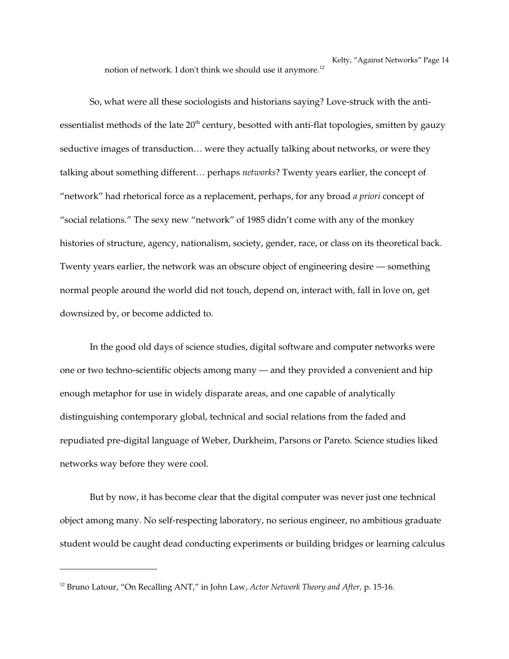notion of network. I don't think we should use it anymore.<sup>[12](#page-13-0)</sup>

So, what were all these sociologists and historians saying? Love-struck with the antiessentialist methods of the late  $20<sup>th</sup>$  century, besotted with anti-flat topologies, smitten by gauzy seductive images of transduction… were they actually talking about networks, or were they talking about something different… perhaps *networks*? Twenty years earlier, the concept of "network" had rhetorical force as a replacement, perhaps, for any broad *a priori* concept of "social relations." The sexy new "network" of 1985 didn't come with any of the monkey histories of structure, agency, nationalism, society, gender, race, or class on its theoretical back. Twenty years earlier, the network was an obscure object of engineering desire — something normal people around the world did not touch, depend on, interact with, fall in love on, get downsized by, or become addicted to.

In the good old days of science studies, digital software and computer networks were one or two techno-scientific objects among many — and they provided a convenient and hip enough metaphor for use in widely disparate areas, and one capable of analytically distinguishing contemporary global, technical and social relations from the faded and repudiated pre-digital language of Weber, Durkheim, Parsons or Pareto. Science studies liked networks way before they were cool.

But by now, it has become clear that the digital computer was never just one technical object among many. No self-respecting laboratory, no serious engineer, no ambitious graduate student would be caught dead conducting experiments or building bridges or learning calculus

<span id="page-13-0"></span><sup>&</sup>lt;sup>12</sup> Bruno Latour, "On Recalling ANT," in John Law, *Actor Network Theory and After*, p. 15-16.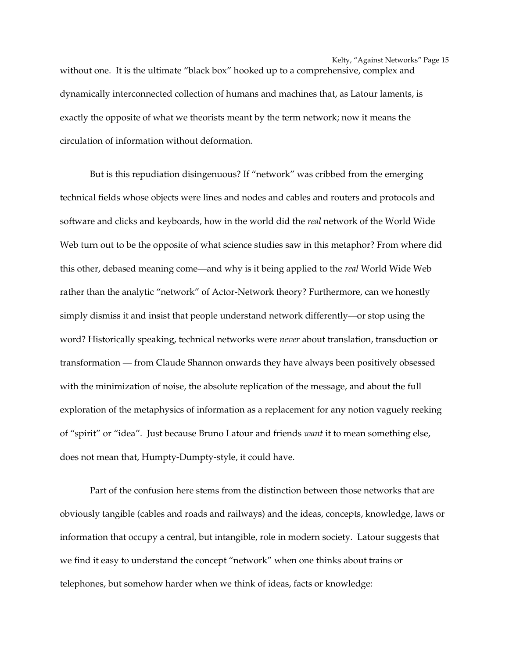Kelty, "Against Networks" Page 15 without one. It is the ultimate "black box" hooked up to a comprehensive, complex and dynamically interconnected collection of humans and machines that, as Latour laments, is exactly the opposite of what we theorists meant by the term network; now it means the circulation of information without deformation.

But is this repudiation disingenuous? If "network" was cribbed from the emerging technical fields whose objects were lines and nodes and cables and routers and protocols and software and clicks and keyboards, how in the world did the *real* network of the World Wide Web turn out to be the opposite of what science studies saw in this metaphor? From where did this other, debased meaning come—and why is it being applied to the *real* World Wide Web rather than the analytic "network" of Actor-Network theory? Furthermore, can we honestly simply dismiss it and insist that people understand network differently—or stop using the word? Historically speaking, technical networks were *never* about translation, transduction or transformation — from Claude Shannon onwards they have always been positively obsessed with the minimization of noise, the absolute replication of the message, and about the full exploration of the metaphysics of information as a replacement for any notion vaguely reeking of "spirit" or "idea". Just because Bruno Latour and friends *want* it to mean something else, does not mean that, Humpty-Dumpty-style, it could have.

Part of the confusion here stems from the distinction between those networks that are obviously tangible (cables and roads and railways) and the ideas, concepts, knowledge, laws or information that occupy a central, but intangible, role in modern society. Latour suggests that we find it easy to understand the concept "network" when one thinks about trains or telephones, but somehow harder when we think of ideas, facts or knowledge: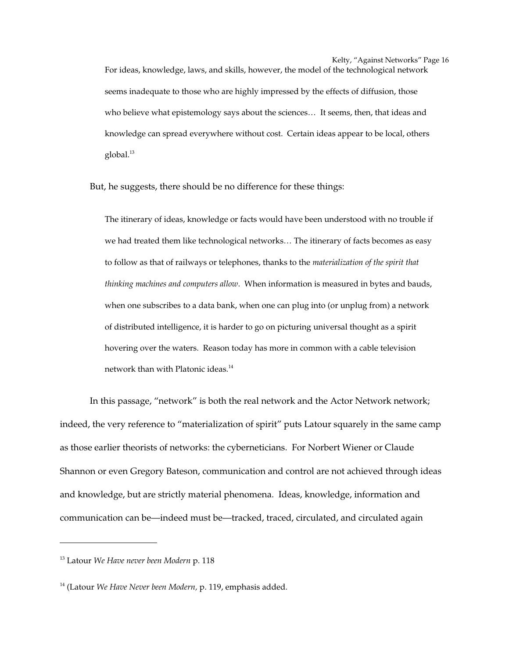For ideas, knowledge, laws, and skills, however, the model of the technological network seems inadequate to those who are highly impressed by the effects of diffusion, those who believe what epistemology says about the sciences... It seems, then, that ideas and knowledge can spread everywhere without cost. Certain ideas appear to be local, others global.<sup>[13](#page-15-0)</sup>

But, he suggests, there should be no difference for these things:

The itinerary of ideas, knowledge or facts would have been understood with no trouble if we had treated them like technological networks… The itinerary of facts becomes as easy to follow as that of railways or telephones, thanks to the *materialization of the spirit that thinking machines and computers allow*. When information is measured in bytes and bauds, when one subscribes to a data bank, when one can plug into (or unplug from) a network of distributed intelligence, it is harder to go on picturing universal thought as a spirit hovering over the waters. Reason today has more in common with a cable television network than with Platonic ideas.<sup>[14](#page-15-1)</sup>

In this passage, "network" is both the real network and the Actor Network network; indeed, the very reference to "materialization of spirit" puts Latour squarely in the same camp as those earlier theorists of networks: the cyberneticians. For Norbert Wiener or Claude Shannon or even Gregory Bateson, communication and control are not achieved through ideas and knowledge, but are strictly material phenomena. Ideas, knowledge, information and communication can be—indeed must be—tracked, traced, circulated, and circulated again

<span id="page-15-0"></span><sup>13</sup> Latour *We Have never been Modern* p. 118

<span id="page-15-1"></span><sup>14</sup> (Latour *We Have Never been Modern,* p. 119, emphasis added.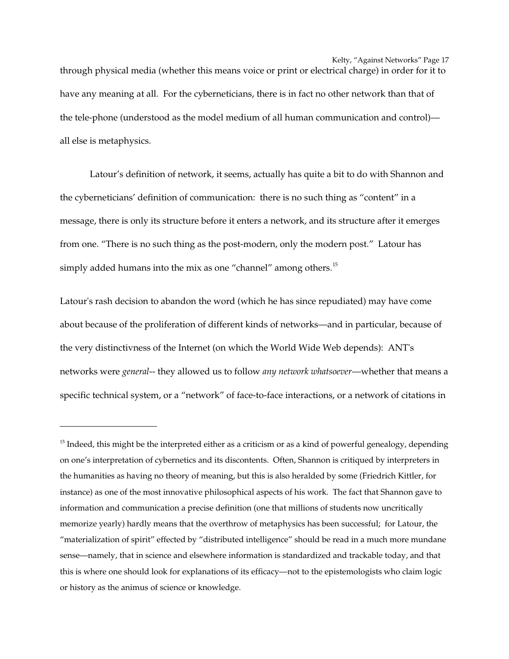through physical media (whether this means voice or print or electrical charge) in order for it to have any meaning at all. For the cyberneticians, there is in fact no other network than that of the telephone (understood as the model medium of all human communication and control) all else is metaphysics.

Latour's definition of network, it seems, actually has quite a bit to do with Shannon and the cyberneticians' definition of communication: there is no such thing as "content" in a message, there is only its structure before it enters a network, and its structure after it emerges from one. "There is no such thing as the post-modern, only the modern post." Latour has simply added humans into the mix as one "channel" among others.<sup>[15](#page-16-0)</sup>

Latour's rash decision to abandon the word (which he has since repudiated) may have come about because of the proliferation of different kinds of networks—and in particular, because of the very distinctivness of the Internet (on which the World Wide Web depends): ANT's networks were *general*-- they allowed us to follow *any network whatsoever*—whether that means a specific technical system, or a "network" of face-to-face interactions, or a network of citations in

<span id="page-16-0"></span> $15$  Indeed, this might be the interpreted either as a criticism or as a kind of powerful genealogy, depending on one's interpretation of cybernetics and its discontents. Often, Shannon is critiqued by interpreters in the humanities as having no theory of meaning, but this is also heralded by some (Friedrich Kittler, for instance) as one of the most innovative philosophical aspects of his work. The fact that Shannon gave to information and communication a precise definition (one that millions of students now uncritically memorize yearly) hardly means that the overthrow of metaphysics has been successful; for Latour, the "materialization of spirit" effected by "distributed intelligence" should be read in a much more mundane sense—namely, that in science and elsewhere information is standardized and trackable today, and that this is where one should look for explanations of its efficacy—not to the epistemologists who claim logic or history as the animus of science or knowledge.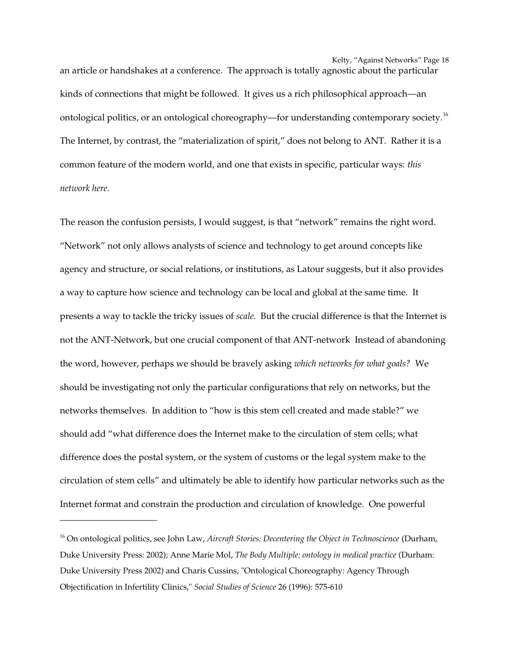an article or handshakes at a conference. The approach is totally agnostic about the particular kinds of connections that might be followed. It gives us a rich philosophical approach—an ontological politics, or an ontological choreography—for understanding contemporary society.<sup>[16](#page-17-0)</sup> The Internet, by contrast, the "materialization of spirit," does not belong to ANT. Rather it is a common feature of the modern world, and one that exists in specific, particular ways: *this network here.* 

The reason the confusion persists, I would suggest, is that "network" remains the right word. "Network" not only allows analysts of science and technology to get around concepts like agency and structure, or social relations, or institutions, as Latour suggests, but it also provides a way to capture how science and technology can be local and global at the same time. It presents a way to tackle the tricky issues of *scale*. But the crucial difference is that the Internet is not the ANT-Network, but one crucial component of that ANT-network Instead of abandoning the word, however, perhaps we should be bravely asking *which networks for what goals?* We should be investigating not only the particular configurations that rely on networks, but the networks themselves. In addition to "how is this stem cell created and made stable?" we should add "what difference does the Internet make to the circulation of stem cells; what difference does the postal system, or the system of customs or the legal system make to the circulation of stem cells" and ultimately be able to identify how particular networks such as the Internet format and constrain the production and circulation of knowledge. One powerful

<span id="page-17-0"></span><sup>&</sup>lt;sup>16</sup> On ontological politics, see John Law, *Aircraft Stories: Decentering the Object in Technoscience* (Durham, Duke University Press: 2002); Anne Marie Mol, *The Body Multiple: ontology in medical practice* (Durham: Duke University Press 2002) and Charis Cussins, "Ontological Choreography: Agency Through Objectification in Infertility Clinics," Social Studies of Science 26 (1996): 575-610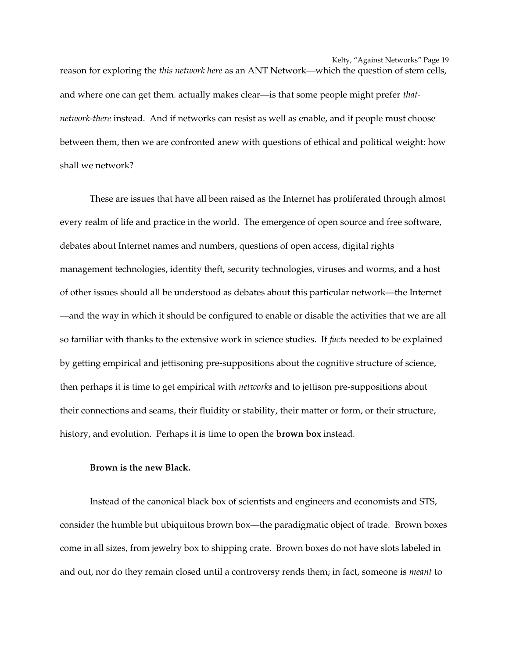reason for exploring the *this network here* as an ANT Network—which the question of stem cells, and where one can get them. actually makes clear—is that some people might prefer *thatnetwork-there* instead. And if networks can resist as well as enable, and if people must choose between them, then we are confronted anew with questions of ethical and political weight: how shall we network?

These are issues that have all been raised as the Internet has proliferated through almost every realm of life and practice in the world. The emergence of open source and free software, debates about Internet names and numbers, questions of open access, digital rights management technologies, identity theft, security technologies, viruses and worms, and a host of other issues should all be understood as debates about this particular network—the Internet —and the way in which it should be configured to enable or disable the activities that we are all so familiar with thanks to the extensive work in science studies. If *facts* needed to be explained by getting empirical and jettisoning presuppositions about the cognitive structure of science, then perhaps it is time to get empirical with *networks* and to jettison presuppositions about their connections and seams, their fluidity or stability, their matter or form, or their structure, history, and evolution. Perhaps it is time to open the **brown box** instead.

### **Brown is the new Black.**

Instead of the canonical black box of scientists and engineers and economists and STS, consider the humble but ubiquitous brown box—the paradigmatic object of trade. Brown boxes come in all sizes, from jewelry box to shipping crate. Brown boxes do not have slots labeled in and out, nor do they remain closed until a controversy rends them; in fact, someone is *meant* to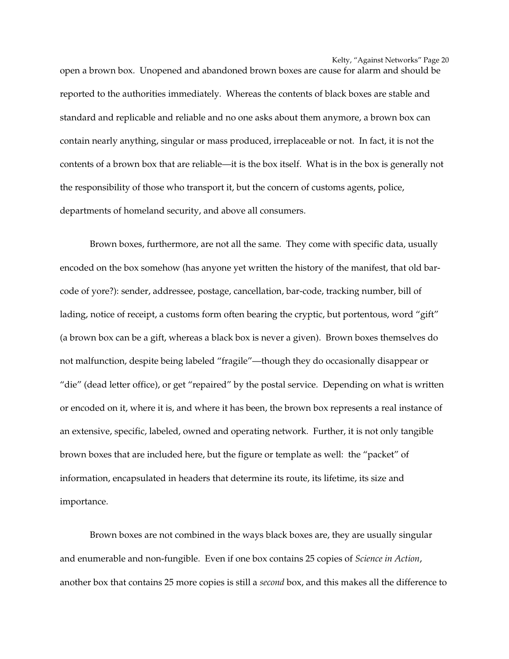open a brown box. Unopened and abandoned brown boxes are cause for alarm and should be reported to the authorities immediately. Whereas the contents of black boxes are stable and standard and replicable and reliable and no one asks about them anymore, a brown box can contain nearly anything, singular or mass produced, irreplaceable or not. In fact, it is not the contents of a brown box that are reliable—it is the box itself. What is in the box is generally not the responsibility of those who transport it, but the concern of customs agents, police, departments of homeland security, and above all consumers.

Brown boxes, furthermore, are not all the same. They come with specific data, usually encoded on the box somehow (has anyone yet written the history of the manifest, that old barcode of yore?): sender, addressee, postage, cancellation, bar-code, tracking number, bill of lading, notice of receipt, a customs form often bearing the cryptic, but portentous, word "gift" (a brown box can be a gift, whereas a black box is never a given). Brown boxes themselves do not malfunction, despite being labeled "fragile"—though they do occasionally disappear or "die" (dead letter office), or get "repaired" by the postal service. Depending on what is written or encoded on it, where it is, and where it has been, the brown box represents a real instance of an extensive, specific, labeled, owned and operating network. Further, it is not only tangible brown boxes that are included here, but the figure or template as well: the "packet" of information, encapsulated in headers that determine its route, its lifetime, its size and importance.

Brown boxes are not combined in the ways black boxes are, they are usually singular and enumerable and non-fungible. Even if one box contains 25 copies of *Science in Action*, another box that contains 25 more copies is still a *second* box, and this makes all the difference to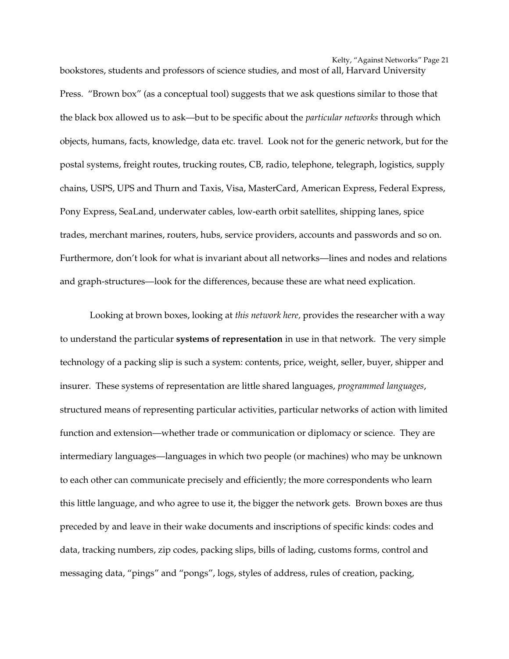bookstores, students and professors of science studies, and most of all, Harvard University Press. "Brown box" (as a conceptual tool) suggests that we ask questions similar to those that the black box allowed us to ask—but to be specific about the *particular networks* through which objects, humans, facts, knowledge, data etc. travel. Look not for the generic network, but for the postal systems, freight routes, trucking routes, CB, radio, telephone, telegraph, logistics, supply chains, USPS, UPS and Thurn and Taxis, Visa, MasterCard, American Express, Federal Express, Pony Express, SeaLand, underwater cables, low-earth orbit satellites, shipping lanes, spice trades, merchant marines, routers, hubs, service providers, accounts and passwords and so on. Furthermore, don't look for what is invariant about all networks—lines and nodes and relations and graph-structures—look for the differences, because these are what need explication.

Looking at brown boxes, looking at *this network here,* provides the researcher with a way to understand the particular **systems of representation** in use in that network. The very simple technology of a packing slip is such a system: contents, price, weight, seller, buyer, shipper and insurer. These systems of representation are little shared languages, *programmed languages*, structured means of representing particular activities, particular networks of action with limited function and extension—whether trade or communication or diplomacy or science. They are intermediary languages—languages in which two people (or machines) who may be unknown to each other can communicate precisely and efficiently; the more correspondents who learn this little language, and who agree to use it, the bigger the network gets. Brown boxes are thus preceded by and leave in their wake documents and inscriptions of specific kinds: codes and data, tracking numbers, zip codes, packing slips, bills of lading, customs forms, control and messaging data, "pings" and "pongs", logs, styles of address, rules of creation, packing,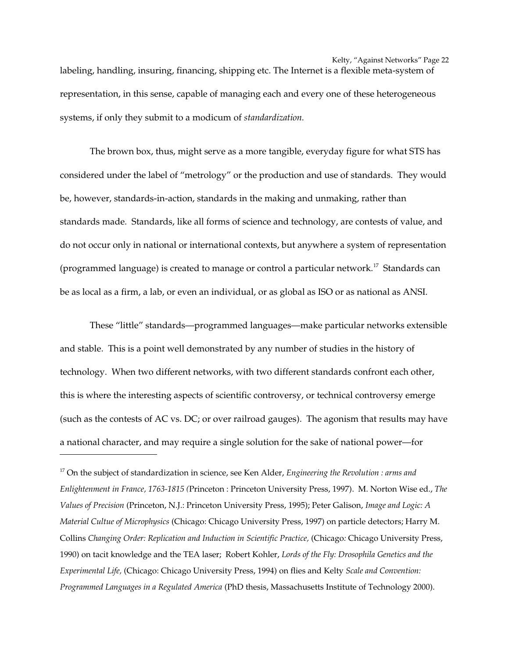labeling, handling, insuring, financing, shipping etc. The Internet is a flexible meta-system of representation, in this sense, capable of managing each and every one of these heterogeneous systems, if only they submit to a modicum of *standardization.*

The brown box, thus, might serve as a more tangible, everyday figure for what STS has considered under the label of "metrology" or the production and use of standards. They would be, however, standards-in-action, standards in the making and unmaking, rather than standards made. Standards, like all forms of science and technology, are contests of value, and do not occur only in national or international contexts, but anywhere a system of representation (programmed language) is created to manage or control a particular network.<sup>[17](#page-21-0)</sup> Standards can be as local as a firm, a lab, or even an individual, or as global as ISO or as national as ANSI.

These "little" standards—programmed languages—make particular networks extensible and stable. This is a point well demonstrated by any number of studies in the history of technology. When two different networks, with two different standards confront each other, this is where the interesting aspects of scientific controversy, or technical controversy emerge (such as the contests of AC vs. DC; or over railroad gauges). The agonism that results may have a national character, and may require a single solution for the sake of national power—for

<span id="page-21-0"></span><sup>17</sup> On the subject of standardization in science, see Ken Alder, *Engineering the Revolution : arms and Enlightenment in France, 17631815 (*Princeton : Princeton University Press, 1997). M. Norton Wise ed., *The Values of Precision* (Princeton, N.J.: Princeton University Press, 1995); Peter Galison, *Image and Logic: A Material Cultue of Microphysics* (Chicago: Chicago University Press, 1997) on particle detectors; Harry M. Collins *Changing Order: Replication and Induction in Scientific Practice,* (Chicago*:* Chicago University Press, 1990) on tacit knowledge and the TEA laser; Robert Kohler, *Lords of the Fly: Drosophila Genetics and the Experimental Life,* (Chicago: Chicago University Press, 1994) on flies and Kelty *Scale and Convention: Programmed Languages in a Regulated America* (PhD thesis, Massachusetts Institute of Technology 2000).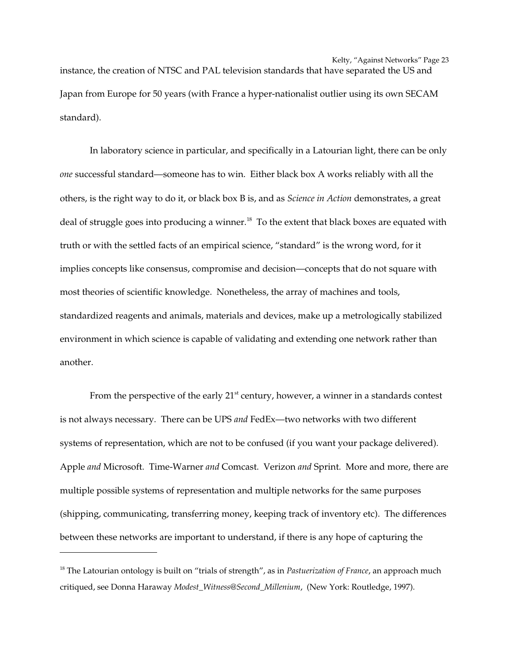instance, the creation of NTSC and PAL television standards that have separated the US and Japan from Europe for 50 years (with France a hyper-nationalist outlier using its own SECAM standard).

In laboratory science in particular, and specifically in a Latourian light, there can be only *one* successful standard—someone has to win. Either black box A works reliably with all the others, is the right way to do it, or black box B is, and as *Science in Action* demonstrates, a great deal of struggle goes into producing a winner.<sup>[18](#page-22-0)</sup> To the extent that black boxes are equated with truth or with the settled facts of an empirical science, "standard" is the wrong word, for it implies concepts like consensus, compromise and decision—concepts that do not square with most theories of scientific knowledge. Nonetheless, the array of machines and tools, standardized reagents and animals, materials and devices, make up a metrologically stabilized environment in which science is capable of validating and extending one network rather than another.

From the perspective of the early  $21^{st}$  century, however, a winner in a standards contest is not always necessary. There can be UPS *and* FedEx—two networks with two different systems of representation, which are not to be confused (if you want your package delivered). Apple and Microsoft. Time-Warner and Comcast. Verizon and Sprint. More and more, there are multiple possible systems of representation and multiple networks for the same purposes (shipping, communicating, transferring money, keeping track of inventory etc). The differences between these networks are important to understand, if there is any hope of capturing the

<span id="page-22-0"></span><sup>18</sup> The Latourian ontology is built on "trials of strength", as in *Pastuerization of France*, an approach much critiqued, see Donna Haraway *Modest\_Witness@Second\_Millenium*, (New York: Routledge, 1997).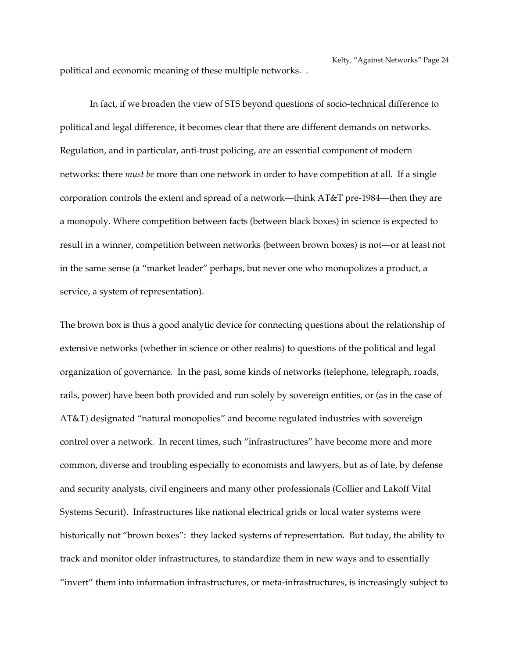political and economic meaning of these multiple networks. .

In fact, if we broaden the view of STS beyond questions of socio-technical difference to political and legal difference, it becomes clear that there are different demands on networks. Regulation, and in particular, anti-trust policing, are an essential component of modern networks: there *must be* more than one network in order to have competition at all. If a single corporation controls the extent and spread of a network—think AT&T pre1984—then they are a monopoly. Where competition between facts (between black boxes) in science is expected to result in a winner, competition between networks (between brown boxes) is not—or at least not in the same sense (a "market leader" perhaps, but never one who monopolizes a product, a service, a system of representation).

The brown box is thus a good analytic device for connecting questions about the relationship of extensive networks (whether in science or other realms) to questions of the political and legal organization of governance. In the past, some kinds of networks (telephone, telegraph, roads, rails, power) have been both provided and run solely by sovereign entities, or (as in the case of AT&T) designated "natural monopolies" and become regulated industries with sovereign control over a network. In recent times, such "infrastructures" have become more and more common, diverse and troubling especially to economists and lawyers, but as of late, by defense and security analysts, civil engineers and many other professionals (Collier and Lakoff Vital Systems Securit). Infrastructures like national electrical grids or local water systems were historically not "brown boxes": they lacked systems of representation. But today, the ability to track and monitor older infrastructures, to standardize them in new ways and to essentially "invert" them into information infrastructures, or meta-infrastructures, is increasingly subject to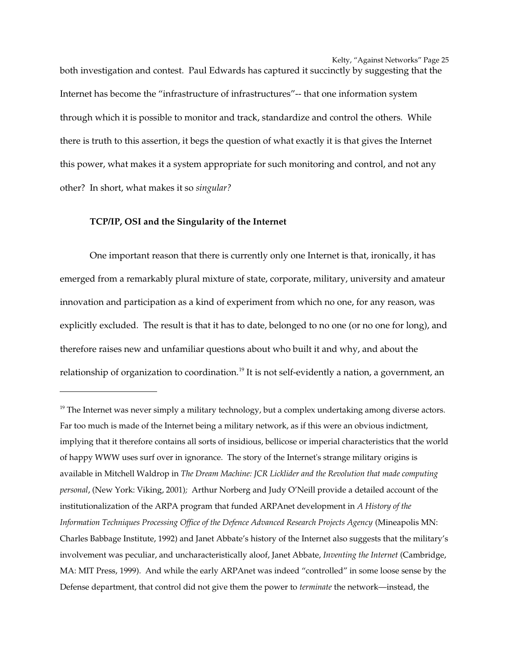both investigation and contest. Paul Edwards has captured it succinctly by suggesting that the Internet has become the "infrastructure of infrastructures"-- that one information system through which it is possible to monitor and track, standardize and control the others. While there is truth to this assertion, it begs the question of what exactly it is that gives the Internet this power, what makes it a system appropriate for such monitoring and control, and not any other? In short, what makes it so *singular?*

## **TCP/IP, OSI and the Singularity of the Internet**

One important reason that there is currently only one Internet is that, ironically, it has emerged from a remarkably plural mixture of state, corporate, military, university and amateur innovation and participation as a kind of experiment from which no one, for any reason, was explicitly excluded. The result is that it has to date, belonged to no one (or no one for long), and therefore raises new and unfamiliar questions about who built it and why, and about the relationship of organization to coordination.<sup>[19](#page-24-0)</sup> It is not self-evidently a nation, a government, an

<span id="page-24-0"></span><sup>&</sup>lt;sup>19</sup> The Internet was never simply a military technology, but a complex undertaking among diverse actors. Far too much is made of the Internet being a military network, as if this were an obvious indictment, implying that it therefore contains all sorts of insidious, bellicose or imperial characteristics that the world of happy WWW uses surf over in ignorance. The story of the Internet's strange military origins is available in Mitchell Waldrop in *The Dream Machine: JCR Licklider and the Revolution that made computing personal*, (New York: Viking, 2001)*;*  Arthur Norberg and Judy O'Neill provide a detailed account of the institutionalization of the ARPA program that funded ARPAnet development in *A History of the Information Techniques Processing Office of the Defence Advanced Research Projects Agency* (Mineapolis MN: Charles Babbage Institute, 1992) and Janet Abbate's history of the Internet also suggests that the military's involvement was peculiar, and uncharacteristically aloof, Janet Abbate, *Inventing the Internet* (Cambridge, MA: MIT Press, 1999). And while the early ARPAnet was indeed "controlled" in some loose sense by the Defense department, that control did not give them the power to *terminate* the network—instead, the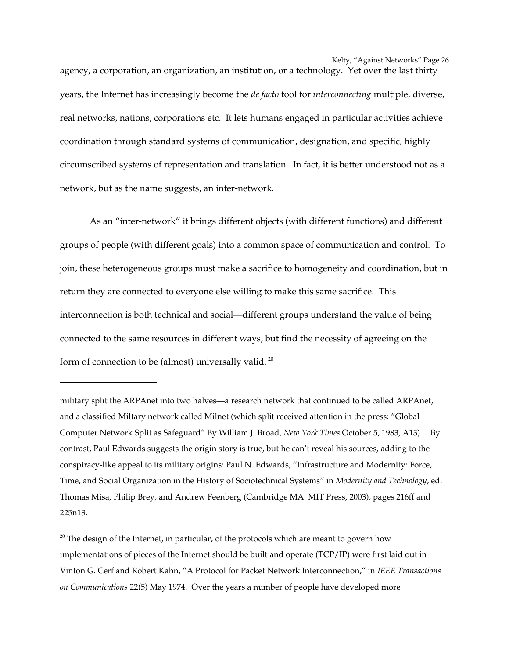agency, a corporation, an organization, an institution, or a technology. Yet over the last thirty years, the Internet has increasingly become the *de facto* tool for *interconnecting* multiple, diverse, real networks, nations, corporations etc. It lets humans engaged in particular activities achieve coordination through standard systems of communication, designation, and specific, highly circumscribed systems of representation and translation. In fact, it is better understood not as a network, but as the name suggests, an inter-network.

As an "inter-network" it brings different objects (with different functions) and different groups of people (with different goals) into a common space of communication and control. To join, these heterogeneous groups must make a sacrifice to homogeneity and coordination, but in return they are connected to everyone else willing to make this same sacrifice. This interconnection is both technical and social—different groups understand the value of being connected to the same resources in different ways, but find the necessity of agreeing on the form of connection to be (almost) universally valid.<sup>[20](#page-25-0)</sup>

military split the ARPAnet into two halves—a research network that continued to be called ARPAnet, and a classified Miltary network called Milnet (which split received attention in the press: "Global Computer Network Split as Safeguard" By William J. Broad, *New York Times* October 5, 1983, A13). By contrast, Paul Edwards suggests the origin story is true, but he can't reveal his sources, adding to the conspiracy-like appeal to its military origins: Paul N. Edwards, "Infrastructure and Modernity: Force, Time, and Social Organization in the History of Sociotechnical Systems" in *Modernity and Technology*, ed. Thomas Misa, Philip Brey, and Andrew Feenberg (Cambridge MA: MIT Press, 2003), pages 216ff and 225n13.

<span id="page-25-0"></span> $20$  The design of the Internet, in particular, of the protocols which are meant to govern how implementations of pieces of the Internet should be built and operate (TCP/IP) were first laid out in Vinton G. Cerf and Robert Kahn, "A Protocol for Packet Network Interconnection," in *IEEE Transactions on Communications* 22(5) May 1974. Over the years a number of people have developed more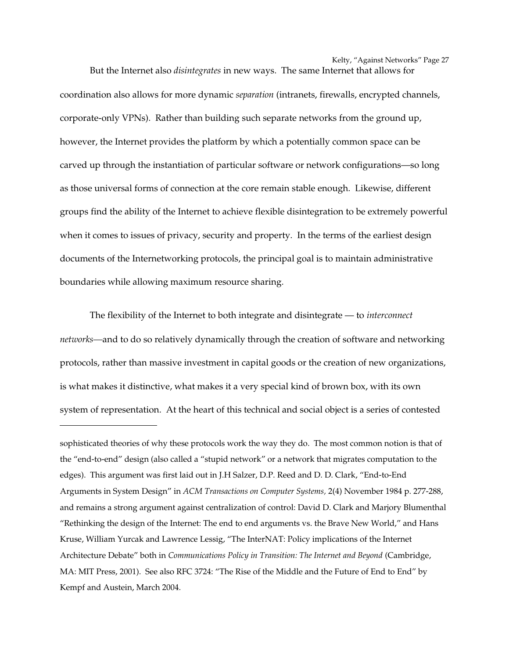But the Internet also *disintegrates* in new ways. The same Internet that allows for coordination also allows for more dynamic *separation* (intranets, firewalls, encrypted channels, corporate-only VPNs). Rather than building such separate networks from the ground up, however, the Internet provides the platform by which a potentially common space can be carved up through the instantiation of particular software or network configurations—so long as those universal forms of connection at the core remain stable enough. Likewise, different groups find the ability of the Internet to achieve flexible disintegration to be extremely powerful when it comes to issues of privacy, security and property. In the terms of the earliest design documents of the Internetworking protocols, the principal goal is to maintain administrative boundaries while allowing maximum resource sharing.

The flexibility of the Internet to both integrate and disintegrate — to *interconnect networks—*and to do so relatively dynamically through the creation of software and networking protocols, rather than massive investment in capital goods or the creation of new organizations, is what makes it distinctive, what makes it a very special kind of brown box, with its own system of representation. At the heart of this technical and social object is a series of contested

sophisticated theories of why these protocols work the way they do. The most common notion is that of the "end-to-end" design (also called a "stupid network" or a network that migrates computation to the edges). This argument was first laid out in J.H Salzer, D.P. Reed and D. D. Clark, "End-to-End Arguments in System Design" in *ACM Transactions on Computer Systems*, 2(4) November 1984 p. 277-288, and remains a strong argument against centralization of control: David D. Clark and Marjory Blumenthal "Rethinking the design of the Internet: The end to end arguments vs. the Brave New World," and Hans Kruse, William Yurcak and Lawrence Lessig, "The InterNAT: Policy implications of the Internet Architecture Debate" both in *Communications Policy in Transition: The Internet and Beyond* (Cambridge, MA: MIT Press, 2001). See also RFC 3724: "The Rise of the Middle and the Future of End to End" by Kempf and Austein, March 2004.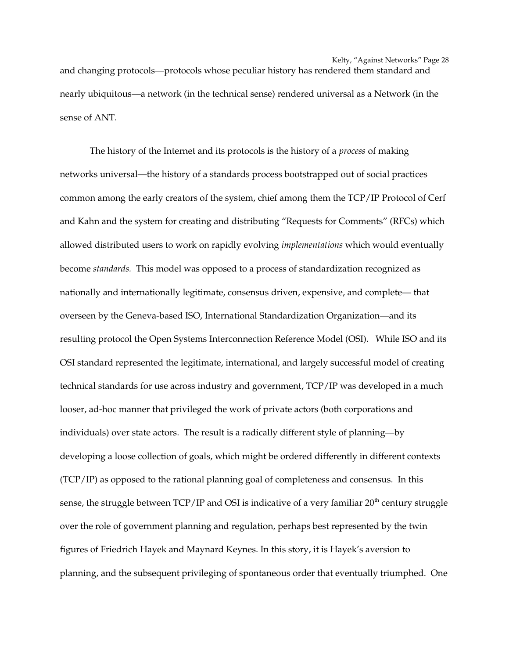and changing protocols—protocols whose peculiar history has rendered them standard and nearly ubiquitous—a network (in the technical sense) rendered universal as a Network (in the sense of ANT.

The history of the Internet and its protocols is the history of a *process* of making networks universal—the history of a standards process bootstrapped out of social practices common among the early creators of the system, chief among them the TCP/IP Protocol of Cerf and Kahn and the system for creating and distributing "Requests for Comments" (RFCs) which allowed distributed users to work on rapidly evolving *implementations* which would eventually become *standards.* This model was opposed to a process of standardization recognized as nationally and internationally legitimate, consensus driven, expensive, and complete— that overseen by the Geneva-based ISO, International Standardization Organization—and its resulting protocol the Open Systems Interconnection Reference Model (OSI). While ISO and its OSI standard represented the legitimate, international, and largely successful model of creating technical standards for use across industry and government, TCP/IP was developed in a much looser, ad-hoc manner that privileged the work of private actors (both corporations and individuals) over state actors. The result is a radically different style of planning—by developing a loose collection of goals, which might be ordered differently in different contexts (TCP/IP) as opposed to the rational planning goal of completeness and consensus. In this sense, the struggle between TCP/IP and OSI is indicative of a very familiar 20<sup>th</sup> century struggle over the role of government planning and regulation, perhaps best represented by the twin figures of Friedrich Hayek and Maynard Keynes. In this story, it is Hayek's aversion to planning, and the subsequent privileging of spontaneous order that eventually triumphed. One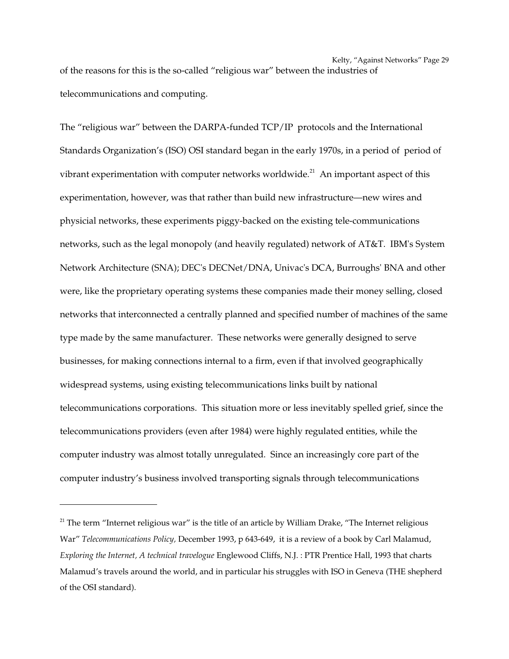Kelty, "Against Networks" Page 29 of the reasons for this is the so-called "religious war" between the industries of telecommunications and computing.

The "religious war" between the DARPA-funded TCP/IP protocols and the International Standards Organization's (ISO) OSI standard began in the early 1970s, in a period of period of vibrant experimentation with computer networks worldwide.<sup>[21](#page-28-0)</sup> An important aspect of this experimentation, however, was that rather than build new infrastructure—new wires and physicial networks, these experiments piggy-backed on the existing tele-communications networks, such as the legal monopoly (and heavily regulated) network of AT&T. IBM's System Network Architecture (SNA); DEC's DECNet/DNA, Univac's DCA, Burroughs' BNA and other were, like the proprietary operating systems these companies made their money selling, closed networks that interconnected a centrally planned and specified number of machines of the same type made by the same manufacturer. These networks were generally designed to serve businesses, for making connections internal to a firm, even if that involved geographically widespread systems, using existing telecommunications links built by national telecommunications corporations. This situation more or less inevitably spelled grief, since the telecommunications providers (even after 1984) were highly regulated entities, while the computer industry was almost totally unregulated. Since an increasingly core part of the computer industry's business involved transporting signals through telecommunications

<span id="page-28-0"></span><sup>&</sup>lt;sup>21</sup> The term "Internet religious war" is the title of an article by William Drake, "The Internet religious War" Telecommunications Policy, December 1993, p 643-649, it is a review of a book by Carl Malamud, *Exploring the Internet, A technical travelogue* Englewood Cliffs, N.J. : PTR Prentice Hall, 1993 that charts Malamud's travels around the world, and in particular his struggles with ISO in Geneva (THE shepherd of the OSI standard).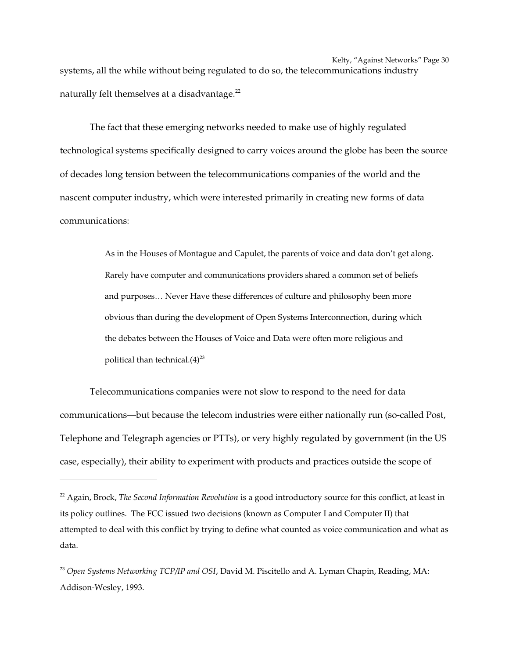Kelty, "Against Networks" Page 30 systems, all the while without being regulated to do so, the telecommunications industry naturally felt themselves at a disadvantage. $^{22}$  $^{22}$  $^{22}$ 

The fact that these emerging networks needed to make use of highly regulated technological systems specifically designed to carry voices around the globe has been the source of decades long tension between the telecommunications companies of the world and the nascent computer industry, which were interested primarily in creating new forms of data communications:

> As in the Houses of Montague and Capulet, the parents of voice and data don't get along. Rarely have computer and communications providers shared a common set of beliefs and purposes… Never Have these differences of culture and philosophy been more obvious than during the development of Open Systems Interconnection, during which the debates between the Houses of Voice and Data were often more religious and political than technical. $(4)^{23}$  $(4)^{23}$  $(4)^{23}$

Telecommunications companies were not slow to respond to the need for data communications—but because the telecom industries were either nationally run (so-called Post, Telephone and Telegraph agencies or PTTs), or very highly regulated by government (in the US case, especially), their ability to experiment with products and practices outside the scope of

<span id="page-29-0"></span><sup>22</sup> Again, Brock, *The Second Information Revolution* is a good introductory source for this conflict, at least in its policy outlines. The FCC issued two decisions (known as Computer I and Computer II) that attempted to deal with this conflict by trying to define what counted as voice communication and what as data.

<span id="page-29-1"></span><sup>23</sup> *Open Systems Networking TCP/IP and OSI*, David M. Piscitello and A. Lyman Chapin, Reading, MA: Addison-Wesley, 1993.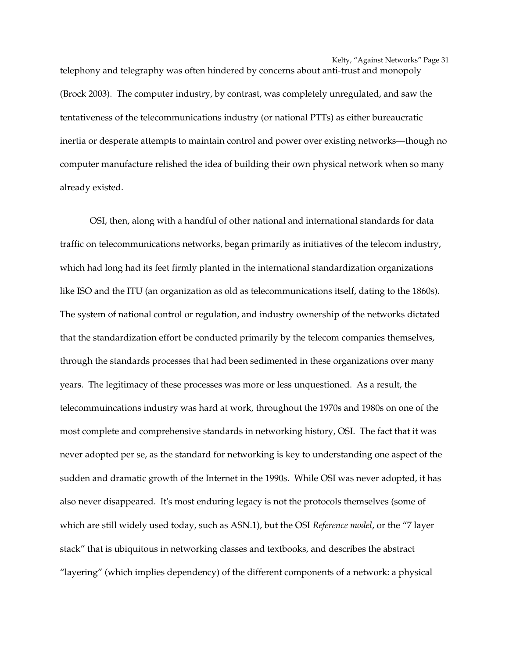telephony and telegraphy was often hindered by concerns about anti-trust and monopoly (Brock 2003). The computer industry, by contrast, was completely unregulated, and saw the tentativeness of the telecommunications industry (or national PTTs) as either bureaucratic inertia or desperate attempts to maintain control and power over existing networks—though no computer manufacture relished the idea of building their own physical network when so many already existed.

OSI, then, along with a handful of other national and international standards for data traffic on telecommunications networks, began primarily as initiatives of the telecom industry, which had long had its feet firmly planted in the international standardization organizations like ISO and the ITU (an organization as old as telecommunications itself, dating to the 1860s). The system of national control or regulation, and industry ownership of the networks dictated that the standardization effort be conducted primarily by the telecom companies themselves, through the standards processes that had been sedimented in these organizations over many years. The legitimacy of these processes was more or less unquestioned. As a result, the telecommuincations industry was hard at work, throughout the 1970s and 1980s on one of the most complete and comprehensive standards in networking history, OSI. The fact that it was never adopted per se, as the standard for networking is key to understanding one aspect of the sudden and dramatic growth of the Internet in the 1990s. While OSI was never adopted, it has also never disappeared. It's most enduring legacy is not the protocols themselves (some of which are still widely used today, such as ASN.1), but the OSI *Reference model*, or the "7 layer stack" that is ubiquitous in networking classes and textbooks, and describes the abstract "layering" (which implies dependency) of the different components of a network: a physical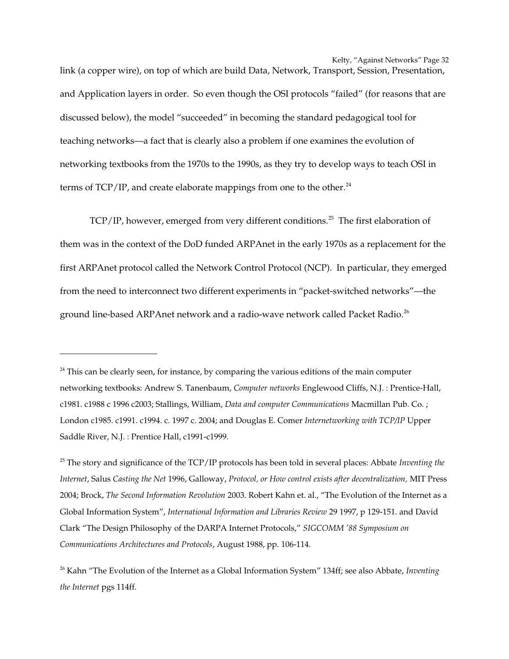link (a copper wire), on top of which are build Data, Network, Transport, Session, Presentation, and Application layers in order. So even though the OSI protocols "failed" (for reasons that are discussed below), the model "succeeded" in becoming the standard pedagogical tool for teaching networks—a fact that is clearly also a problem if one examines the evolution of networking textbooks from the 1970s to the 1990s, as they try to develop ways to teach OSI in terms of  $TCP/IP$ , and create elaborate mappings from one to the other.<sup>[24](#page-31-0)</sup>

TCP/IP, however, emerged from very different conditions.<sup>[25](#page-31-1)</sup> The first elaboration of them was in the context of the DoD funded ARPAnet in the early 1970s as a replacement for the first ARPAnet protocol called the Network Control Protocol (NCP). In particular, they emerged from the need to interconnect two different experiments in "packet-switched networks"—the ground line-based ARPAnet network and a radio-wave network called Packet Radio.<sup>[26](#page-31-2)</sup>

<span id="page-31-0"></span> $24$  This can be clearly seen, for instance, by comparing the various editions of the main computer networking textbooks: Andrew S. Tanenbaum, *Computer networks* Englewood Cliffs, N.J. : PrenticeHall, c1981. c1988 c 1996 c2003; Stallings, William, *Data and computer Communications* Macmillan Pub. Co. ; London c1985. c1991. c1994. c. 1997 c. 2004; and Douglas E. Comer *Internetworking with TCP/IP* Upper Saddle River, N.J. : Prentice Hall, c1991-c1999.

<span id="page-31-1"></span><sup>25</sup> The story and significance of the TCP/IP protocols has been told in several places: Abbate *Inventing the Internet*, Salus *Casting the Net* 1996, Galloway, *Protocol, or How control exists after decentralization,* MIT Press 2004; Brock, *The Second Information Revolution* 2003. Robert Kahn et. al., "The Evolution of the Internet as a Global Information System", *International Information and Libraries Review* 29 1997, p 129-151. and David Clark "The Design Philosophy of the DARPA Internet Protocols," *SIGCOMM '88 Symposium on Communications Architectures and Protocols, August 1988, pp. 106-114.* 

<span id="page-31-2"></span><sup>26</sup> Kahn "The Evolution of the Internet as a Global Information System" 134ff; see also Abbate, *Inventing the Internet* pgs 114ff.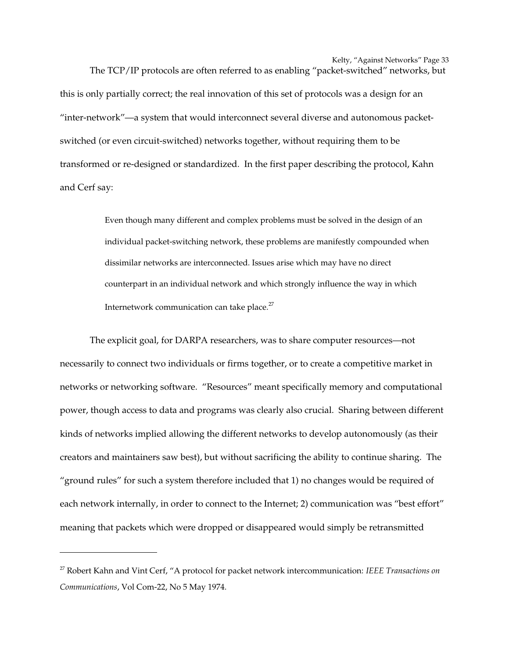The TCP/IP protocols are often referred to as enabling "packet-switched" networks, but this is only partially correct; the real innovation of this set of protocols was a design for an "inter-network"—a system that would interconnect several diverse and autonomous packetswitched (or even circuit-switched) networks together, without requiring them to be transformed or redesigned or standardized. In the first paper describing the protocol, Kahn and Cerf say:

> Even though many different and complex problems must be solved in the design of an individual packet-switching network, these problems are manifestly compounded when dissimilar networks are interconnected. Issues arise which may have no direct counterpart in an individual network and which strongly influence the way in which Internetwork communication can take place.<sup>[27](#page-32-0)</sup>

The explicit goal, for DARPA researchers, was to share computer resources—not necessarily to connect two individuals or firms together, or to create a competitive market in networks or networking software. "Resources" meant specifically memory and computational power, though access to data and programs was clearly also crucial. Sharing between different kinds of networks implied allowing the different networks to develop autonomously (as their creators and maintainers saw best), but without sacrificing the ability to continue sharing. The "ground rules" for such a system therefore included that 1) no changes would be required of each network internally, in order to connect to the Internet; 2) communication was "best effort" meaning that packets which were dropped or disappeared would simply be retransmitted

<span id="page-32-0"></span><sup>27</sup> Robert Kahn and Vint Cerf, "A protocol for packet network intercommunication: *IEEE Transactions on* Communications, Vol Com-22, No 5 May 1974.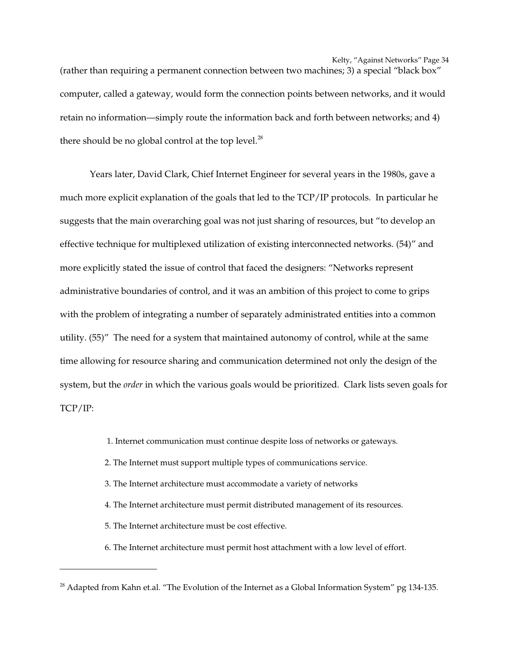(rather than requiring a permanent connection between two machines; 3) a special "black box" computer, called a gateway, would form the connection points between networks, and it would retain no information—simply route the information back and forth between networks; and 4) there should be no global control at the top level.<sup>[28](#page-33-0)</sup>

Years later, David Clark, Chief Internet Engineer for several years in the 1980s, gave a much more explicit explanation of the goals that led to the TCP/IP protocols. In particular he suggests that the main overarching goal was not just sharing of resources, but "to develop an effective technique for multiplexed utilization of existing interconnected networks. (54)" and more explicitly stated the issue of control that faced the designers: "Networks represent administrative boundaries of control, and it was an ambition of this project to come to grips with the problem of integrating a number of separately administrated entities into a common utility. (55)" The need for a system that maintained autonomy of control, while at the same time allowing for resource sharing and communication determined not only the design of the system, but the *order* in which the various goals would be prioritized. Clark lists seven goals for TCP/IP:

1. Internet communication must continue despite loss of networks or gateways.

- 2. The Internet must support multiple types of communications service.
- 3. The Internet architecture must accommodate a variety of networks
- 4. The Internet architecture must permit distributed management of its resources.
- 5. The Internet architecture must be cost effective.
- 6. The Internet architecture must permit host attachment with a low level of effort.

<span id="page-33-0"></span> $^{28}$  Adapted from Kahn et.al. "The Evolution of the Internet as a Global Information System" pg 134-135.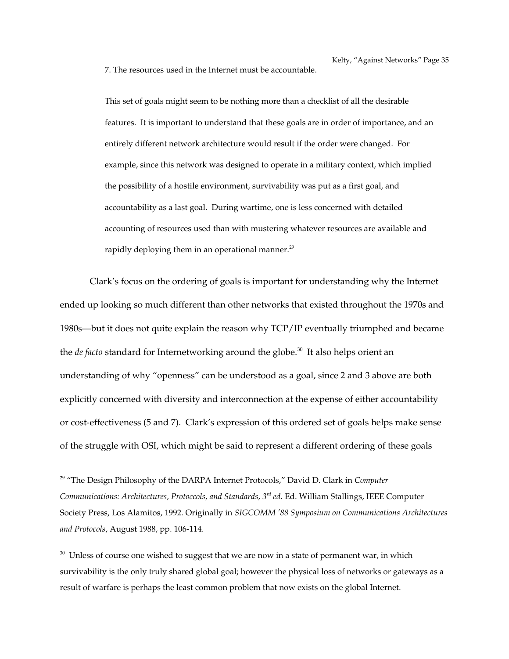7. The resources used in the Internet must be accountable.

This set of goals might seem to be nothing more than a checklist of all the desirable features. It is important to understand that these goals are in order of importance, and an entirely different network architecture would result if the order were changed. For example, since this network was designed to operate in a military context, which implied the possibility of a hostile environment, survivability was put as a first goal, and accountability as a last goal. During wartime, one is less concerned with detailed accounting of resources used than with mustering whatever resources are available and rapidly deploying them in an operational manner. $^{29}$  $^{29}$  $^{29}$ 

Clark's focus on the ordering of goals is important for understanding why the Internet ended up looking so much different than other networks that existed throughout the 1970s and 1980s—but it does not quite explain the reason why TCP/IP eventually triumphed and became the *de facto* standard for Internetworking around the globe.<sup>[30](#page-34-1)</sup> It also helps orient an understanding of why "openness" can be understood as a goal, since 2 and 3 above are both explicitly concerned with diversity and interconnection at the expense of either accountability or cost-effectiveness (5 and 7). Clark's expression of this ordered set of goals helps make sense of the struggle with OSI, which might be said to represent a different ordering of these goals

<span id="page-34-1"></span> $30$  Unless of course one wished to suggest that we are now in a state of permanent war, in which survivability is the only truly shared global goal; however the physical loss of networks or gateways as a result of warfare is perhaps the least common problem that now exists on the global Internet.

<span id="page-34-0"></span><sup>29</sup> "The Design Philosophy of the DARPA Internet Protocols," David D. Clark in *Computer Communications: Architectures, Protoccols, and Standards, 3rd ed.* Ed. William Stallings, IEEE Computer Society Press, Los Alamitos, 1992. Originally in *SIGCOMM '88 Symposium on Communications Architectures and Protocols*, August 1988, pp. 106-114.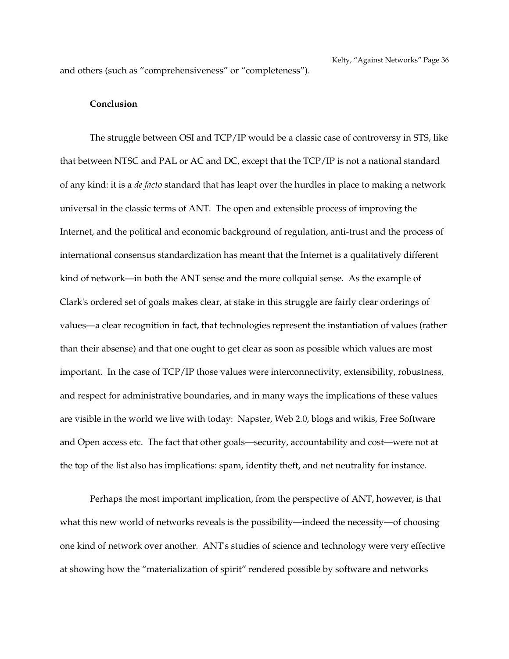and others (such as "comprehensiveness" or "completeness").

#### **Conclusion**

The struggle between OSI and TCP/IP would be a classic case of controversy in STS, like that between NTSC and PAL or AC and DC, except that the TCP/IP is not a national standard of any kind: it is a *de facto* standard that has leapt over the hurdles in place to making a network universal in the classic terms of ANT. The open and extensible process of improving the Internet, and the political and economic background of regulation, anti-trust and the process of international consensus standardization has meant that the Internet is a qualitatively different kind of network—in both the ANT sense and the more collquial sense. As the example of Clark's ordered set of goals makes clear, at stake in this struggle are fairly clear orderings of values—a clear recognition in fact, that technologies represent the instantiation of values (rather than their absense) and that one ought to get clear as soon as possible which values are most important. In the case of TCP/IP those values were interconnectivity, extensibility, robustness, and respect for administrative boundaries, and in many ways the implications of these values are visible in the world we live with today: Napster, Web 2.0, blogs and wikis, Free Software and Open access etc. The fact that other goals—security, accountability and cost—were not at the top of the list also has implications: spam, identity theft, and net neutrality for instance.

Perhaps the most important implication, from the perspective of ANT, however, is that what this new world of networks reveals is the possibility—indeed the necessity—of choosing one kind of network over another. ANT's studies of science and technology were very effective at showing how the "materialization of spirit" rendered possible by software and networks